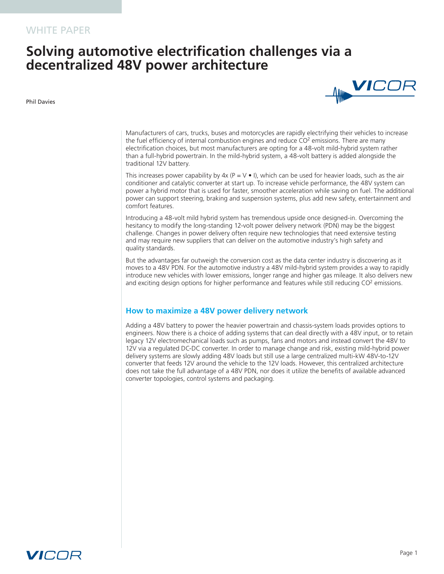# **Solving automotive electrification challenges via a decentralized 48V power architecture**

Phil Davies



Manufacturers of cars, trucks, buses and motorcycles are rapidly electrifying their vehicles to increase the fuel efficiency of internal combustion engines and reduce  $CO<sup>2</sup>$  emissions. There are many electrification choices, but most manufacturers are opting for a 48-volt mild-hybrid system rather than a full-hybrid powertrain. In the mild-hybrid system, a 48-volt battery is added alongside the traditional 12V battery.

This increases power capability by  $4x (P = V \cdot I)$ , which can be used for heavier loads, such as the air conditioner and catalytic converter at start up. To increase vehicle performance, the 48V system can power a hybrid motor that is used for faster, smoother acceleration while saving on fuel. The additional power can support steering, braking and suspension systems, plus add new safety, entertainment and comfort features.

Introducing a 48-volt mild hybrid system has tremendous upside once designed-in. Overcoming the hesitancy to modify the long-standing 12-volt power delivery network (PDN) may be the biggest challenge. Changes in power delivery often require new technologies that need extensive testing and may require new suppliers that can deliver on the automotive industry's high safety and quality standards.

But the advantages far outweigh the conversion cost as the data center industry is discovering as it moves to a 48V PDN. For the automotive industry a 48V mild-hybrid system provides a way to rapidly introduce new vehicles with lower emissions, longer range and higher gas mileage. It also delivers new and exciting design options for higher performance and features while still reducing CO<sup>2</sup> emissions.

## **How to maximize a 48V power delivery network**

Adding a 48V battery to power the heavier powertrain and chassis-system loads provides options to engineers. Now there is a choice of adding systems that can deal directly with a 48V input, or to retain legacy 12V electromechanical loads such as pumps, fans and motors and instead convert the 48V to 12V via a regulated DC-DC converter. In order to manage change and risk, existing mild-hybrid power delivery systems are slowly adding 48V loads but still use a large centralized multi-kW 48V-to-12V converter that feeds 12V around the vehicle to the 12V loads. However, this centralized architecture does not take the full advantage of a 48V PDN, nor does it utilize the benefits of available advanced converter topologies, control systems and packaging.

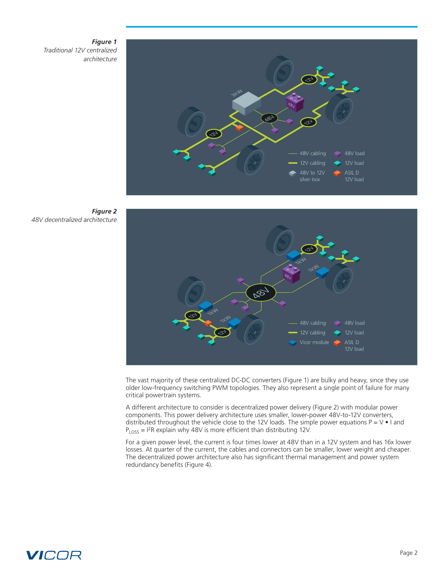### *Figure 1 Traditional 12V centralized architecture*







The vast majority of these centralized DC-DC converters (Figure 1) are bulky and heavy, since they use older low-frequency switching PWM topologies. They also represent a single point of failure for many critical powertrain systems.

A different architecture to consider is decentralized power delivery (Figure 2) with modular power components. This power delivery architecture uses smaller, lower-power 48V-to-12V converters, distributed throughout the vehicle close to the 12V loads. The simple power equations  $P = V \cdot I$  and  $P_{LOS} = I<sup>2</sup>R$  explain why 48V is more efficient than distributing 12V.

For a given power level, the current is four times lower at 48V than in a 12V system and has 16x lower losses. At quarter of the current, the cables and connectors can be smaller, lower weight and cheaper. The decentralized power architecture also has significant thermal management and power system redundancy benefits (Figure 4).

# *VICOR*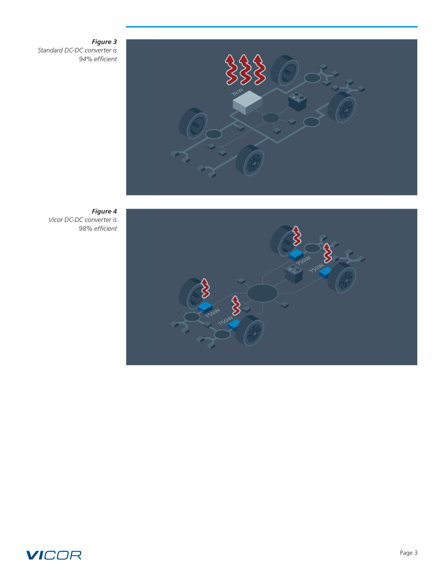### *Figure 3*

*Standard DC-DC converter is 94% efficient* 



*Figure 4 Vicor DC-DC converter is 98% efficient*



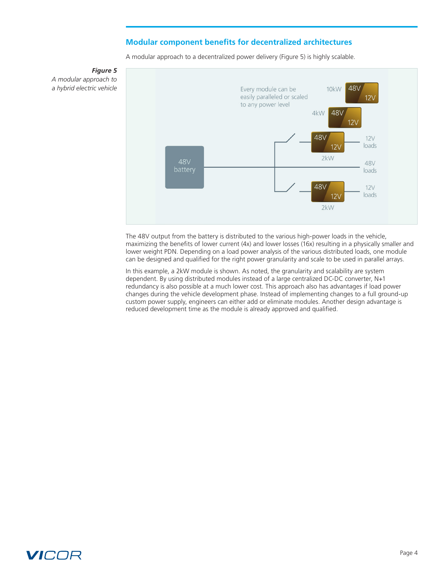## **Modular component benefits for decentralized architectures**

A modular approach to a decentralized power delivery (Figure 5) is highly scalable.



*Figure 5 A modular approach to a hybrid electric vehicle*

> The 48V output from the battery is distributed to the various high-power loads in the vehicle, maximizing the benefits of lower current (4x) and lower losses (16x) resulting in a physically smaller and lower weight PDN. Depending on a load power analysis of the various distributed loads, one module can be designed and qualified for the right power granularity and scale to be used in parallel arrays.

In this example, a 2kW module is shown. As noted, the granularity and scalability are system dependent. By using distributed modules instead of a large centralized DC-DC converter, N+1 redundancy is also possible at a much lower cost. This approach also has advantages if load power changes during the vehicle development phase. Instead of implementing changes to a full ground-up custom power supply, engineers can either add or eliminate modules. Another design advantage is reduced development time as the module is already approved and qualified.

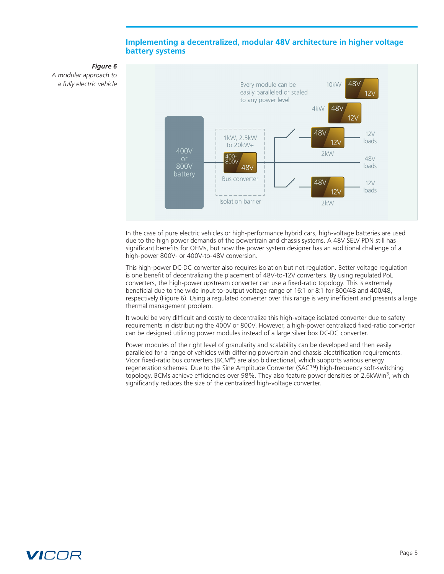## **Implementing a decentralized, modular 48V architecture in higher voltage battery systems**



*Figure 6 A modular approach to a fully electric vehicle*

> In the case of pure electric vehicles or high-performance hybrid cars, high-voltage batteries are used due to the high power demands of the powertrain and chassis systems. A 48V SELV PDN still has significant benefits for OEMs, but now the power system designer has an additional challenge of a high-power 800V- or 400V-to-48V conversion.

This high-power DC-DC converter also requires isolation but not regulation. Better voltage regulation is one benefit of decentralizing the placement of 48V-to-12V converters. By using regulated PoL converters, the high-power upstream converter can use a fixed-ratio topology. This is extremely beneficial due to the wide input-to-output voltage range of 16:1 or 8:1 for 800/48 and 400/48, respectively (Figure 6). Using a regulated converter over this range is very inefficient and presents a large thermal management problem.

It would be very difficult and costly to decentralize this high-voltage isolated converter due to safety requirements in distributing the 400V or 800V. However, a high-power centralized fixed-ratio converter can be designed utilizing power modules instead of a large silver box DC-DC converter.

Power modules of the right level of granularity and scalability can be developed and then easily paralleled for a range of vehicles with differing powertrain and chassis electrification requirements. Vicor fixed-ratio bus converters (BCM®) are also bidirectional, which supports various energy regeneration schemes. Due to the Sine Amplitude Converter (SAC™) high-frequency soft-switching topology, BCMs achieve efficiencies over 98%. They also feature power densities of 2.6kW/in<sup>3</sup>, which significantly reduces the size of the centralized high-voltage converter.